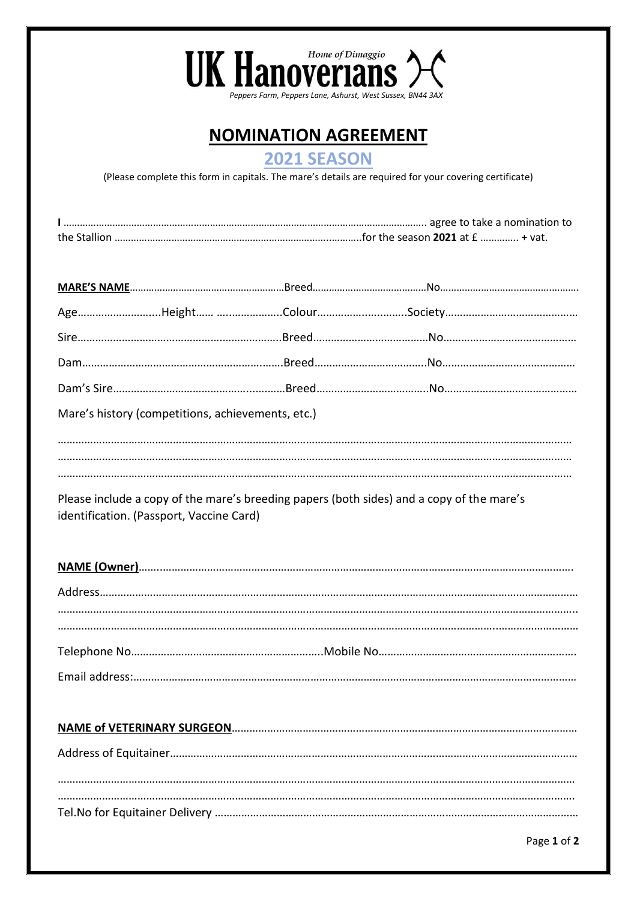

# **NOMINATION AGREEMENT**

## **2021 SEASON**

(Please complete this form in capitals. The mare's details are required for your covering certificate)

| Mare's history (competitions, achievements, etc.) |  |  |  |  |
|---------------------------------------------------|--|--|--|--|
|                                                   |  |  |  |  |
|                                                   |  |  |  |  |

Please include a copy of the mare's breeding papers (both sides) and a copy of the mare's identification. (Passport, Vaccine Card)